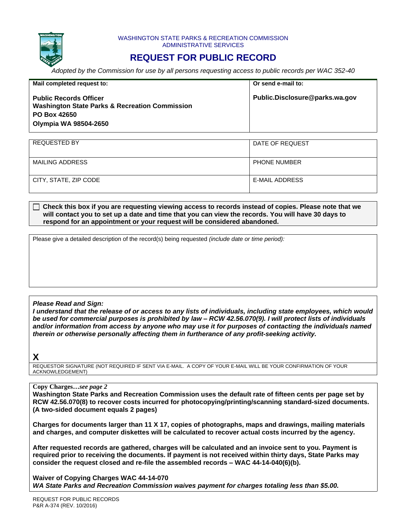

#### WASHINGTON STATE PARKS & RECREATION COMMISSION ADMINISTRATIVE SERVICES

# **REQUEST FOR PUBLIC RECORD**

*Adopted by the Commission for use by all persons requesting access to public records per WAC 352-40*

| Mail completed request to:                                                                                                                 | Or send e-mail to:             |
|--------------------------------------------------------------------------------------------------------------------------------------------|--------------------------------|
| <b>Public Records Officer</b><br><b>Washington State Parks &amp; Recreation Commission</b><br><b>PO Box 42650</b><br>Olympia WA 98504-2650 | Public.Disclosure@parks.wa.gov |

| REQUESTED BY          | DATE OF REQUEST     |
|-----------------------|---------------------|
|                       |                     |
|                       |                     |
|                       |                     |
| MAILING ADDRESS       | <b>PHONE NUMBER</b> |
|                       |                     |
|                       |                     |
| CITY, STATE, ZIP CODE | E-MAIL ADDRESS      |
|                       |                     |
|                       |                     |
|                       |                     |

#### **Check this box if you are requesting viewing access to records instead of copies. Please note that we will contact you to set up a date and time that you can view the records. You will have 30 days to respond for an appointment or your request will be considered abandoned.**

Please give a detailed description of the record(s) being requested *(include date or time period):*

## *Please Read and Sign:*

*I understand that the release of or access to any lists of individuals, including state employees, which would be used for commercial purposes is prohibited by law – RCW 42.56.070(9). I will protect lists of individuals and/or information from access by anyone who may use it for purposes of contacting the individuals named therein or otherwise personally affecting them in furtherance of any profit-seeking activity.*

# **X**

REQUESTOR SIGNATURE (NOT REQUIRED IF SENT VIA E-MAIL. A COPY OF YOUR E-MAIL WILL BE YOUR CONFIRMATION OF YOUR ACKNOWLEDGEMENT)

## **Copy Charges…***see page 2*

**Washington State Parks and Recreation Commission uses the default rate of fifteen cents per page set by RCW 42.56.070(8) to recover costs incurred for photocopying/printing/scanning standard-sized documents. (A two-sided document equals 2 pages)**

**Charges for documents larger than 11 X 17, copies of photographs, maps and drawings, mailing materials and charges, and computer diskettes will be calculated to recover actual costs incurred by the agency.** 

**After requested records are gathered, charges will be calculated and an invoice sent to you. Payment is required prior to receiving the documents. If payment is not received within thirty days, State Parks may consider the request closed and re-file the assembled records – WAC 44-14-040(6)(b).**

**Waiver of Copying Charges WAC 44-14-070** *WA State Parks and Recreation Commission waives payment for charges totaling less than \$5.00.*